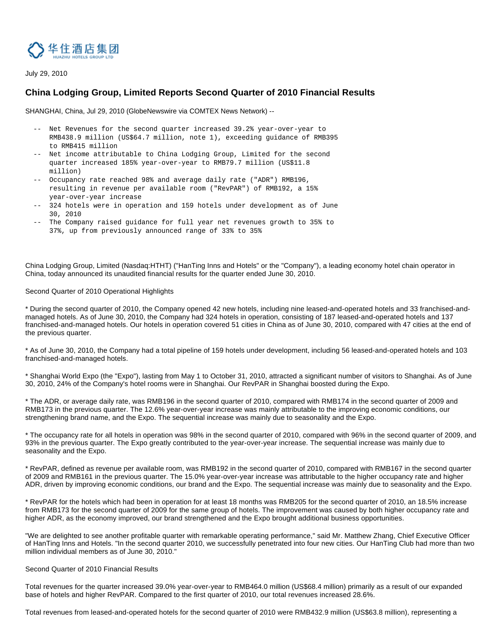

July 29, 2010

# **China Lodging Group, Limited Reports Second Quarter of 2010 Financial Results**

SHANGHAI, China, Jul 29, 2010 (GlobeNewswire via COMTEX News Network) --

- -- Net Revenues for the second quarter increased 39.2% year-over-year to RMB438.9 million (US\$64.7 million, note 1), exceeding guidance of RMB395 to RMB415 million
- -- Net income attributable to China Lodging Group, Limited for the second quarter increased 185% year-over-year to RMB79.7 million (US\$11.8 million)
- -- Occupancy rate reached 98% and average daily rate ("ADR") RMB196, resulting in revenue per available room ("RevPAR") of RMB192, a 15% year-over-year increase
- -- 324 hotels were in operation and 159 hotels under development as of June 30, 2010
- The Company raised guidance for full year net revenues growth to 35% to 37%, up from previously announced range of 33% to 35%

China Lodging Group, Limited (Nasdaq:HTHT) ("HanTing Inns and Hotels" or the "Company"), a leading economy hotel chain operator in China, today announced its unaudited financial results for the quarter ended June 30, 2010.

### Second Quarter of 2010 Operational Highlights

\* During the second quarter of 2010, the Company opened 42 new hotels, including nine leased-and-operated hotels and 33 franchised-andmanaged hotels. As of June 30, 2010, the Company had 324 hotels in operation, consisting of 187 leased-and-operated hotels and 137 franchised-and-managed hotels. Our hotels in operation covered 51 cities in China as of June 30, 2010, compared with 47 cities at the end of the previous quarter.

\* As of June 30, 2010, the Company had a total pipeline of 159 hotels under development, including 56 leased-and-operated hotels and 103 franchised-and-managed hotels.

\* Shanghai World Expo (the "Expo"), lasting from May 1 to October 31, 2010, attracted a significant number of visitors to Shanghai. As of June 30, 2010, 24% of the Company's hotel rooms were in Shanghai. Our RevPAR in Shanghai boosted during the Expo.

\* The ADR, or average daily rate, was RMB196 in the second quarter of 2010, compared with RMB174 in the second quarter of 2009 and RMB173 in the previous quarter. The 12.6% year-over-year increase was mainly attributable to the improving economic conditions, our strengthening brand name, and the Expo. The sequential increase was mainly due to seasonality and the Expo.

\* The occupancy rate for all hotels in operation was 98% in the second quarter of 2010, compared with 96% in the second quarter of 2009, and 93% in the previous quarter. The Expo greatly contributed to the year-over-year increase. The sequential increase was mainly due to seasonality and the Expo.

\* RevPAR, defined as revenue per available room, was RMB192 in the second quarter of 2010, compared with RMB167 in the second quarter of 2009 and RMB161 in the previous quarter. The 15.0% year-over-year increase was attributable to the higher occupancy rate and higher ADR, driven by improving economic conditions, our brand and the Expo. The sequential increase was mainly due to seasonality and the Expo.

\* RevPAR for the hotels which had been in operation for at least 18 months was RMB205 for the second quarter of 2010, an 18.5% increase from RMB173 for the second quarter of 2009 for the same group of hotels. The improvement was caused by both higher occupancy rate and higher ADR, as the economy improved, our brand strengthened and the Expo brought additional business opportunities.

"We are delighted to see another profitable quarter with remarkable operating performance," said Mr. Matthew Zhang, Chief Executive Officer of HanTing Inns and Hotels. "In the second quarter 2010, we successfully penetrated into four new cities. Our HanTing Club had more than two million individual members as of June 30, 2010."

#### Second Quarter of 2010 Financial Results

Total revenues for the quarter increased 39.0% year-over-year to RMB464.0 million (US\$68.4 million) primarily as a result of our expanded base of hotels and higher RevPAR. Compared to the first quarter of 2010, our total revenues increased 28.6%.

Total revenues from leased-and-operated hotels for the second quarter of 2010 were RMB432.9 million (US\$63.8 million), representing a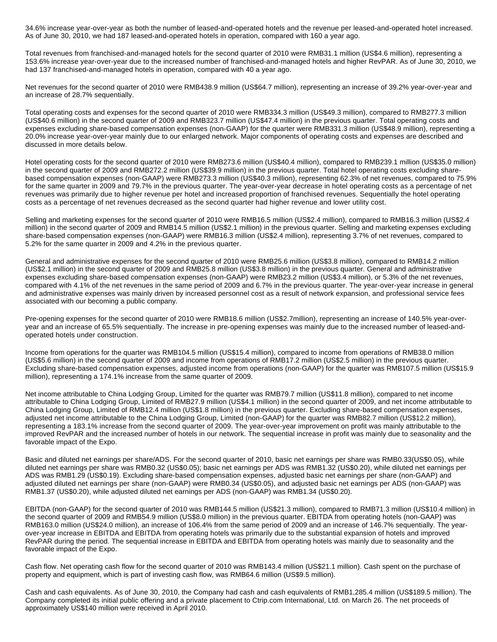34.6% increase year-over-year as both the number of leased-and-operated hotels and the revenue per leased-and-operated hotel increased. As of June 30, 2010, we had 187 leased-and-operated hotels in operation, compared with 160 a year ago.

Total revenues from franchised-and-managed hotels for the second quarter of 2010 were RMB31.1 million (US\$4.6 million), representing a 153.6% increase year-over-year due to the increased number of franchised-and-managed hotels and higher RevPAR. As of June 30, 2010, we had 137 franchised-and-managed hotels in operation, compared with 40 a year ago.

Net revenues for the second quarter of 2010 were RMB438.9 million (US\$64.7 million), representing an increase of 39.2% year-over-year and an increase of 28.7% sequentially.

Total operating costs and expenses for the second quarter of 2010 were RMB334.3 million (US\$49.3 million), compared to RMB277.3 million (US\$40.6 million) in the second quarter of 2009 and RMB323.7 million (US\$47.4 million) in the previous quarter. Total operating costs and expenses excluding share-based compensation expenses (non-GAAP) for the quarter were RMB331.3 million (US\$48.9 million), representing a 20.0% increase year-over-year mainly due to our enlarged network. Major components of operating costs and expenses are described and discussed in more details below.

Hotel operating costs for the second quarter of 2010 were RMB273.6 million (US\$40.4 million), compared to RMB239.1 million (US\$35.0 million) in the second quarter of 2009 and RMB272.2 million (US\$39.9 million) in the previous quarter. Total hotel operating costs excluding sharebased compensation expenses (non-GAAP) were RMB273.3 million (US\$40.3 million), representing 62.3% of net revenues, compared to 75.9% for the same quarter in 2009 and 79.7% in the previous quarter. The year-over-year decrease in hotel operating costs as a percentage of net revenues was primarily due to higher revenue per hotel and increased proportion of franchised revenues. Sequentially the hotel operating costs as a percentage of net revenues decreased as the second quarter had higher revenue and lower utility cost.

Selling and marketing expenses for the second quarter of 2010 were RMB16.5 million (US\$2.4 million), compared to RMB16.3 million (US\$2.4 million) in the second quarter of 2009 and RMB14.5 million (US\$2.1 million) in the previous quarter. Selling and marketing expenses excluding share-based compensation expenses (non-GAAP) were RMB16.3 million (US\$2.4 million), representing 3.7% of net revenues, compared to 5.2% for the same quarter in 2009 and 4.2% in the previous quarter.

General and administrative expenses for the second quarter of 2010 were RMB25.6 million (US\$3.8 million), compared to RMB14.2 million (US\$2.1 million) in the second quarter of 2009 and RMB25.8 million (US\$3.8 million) in the previous quarter. General and administrative expenses excluding share-based compensation expenses (non-GAAP) were RMB23.2 million (US\$3.4 million), or 5.3% of the net revenues, compared with 4.1% of the net revenues in the same period of 2009 and 6.7% in the previous quarter. The year-over-year increase in general and administrative expenses was mainly driven by increased personnel cost as a result of network expansion, and professional service fees associated with our becoming a public company.

Pre-opening expenses for the second quarter of 2010 were RMB18.6 million (US\$2.7million), representing an increase of 140.5% year-overyear and an increase of 65.5% sequentially. The increase in pre-opening expenses was mainly due to the increased number of leased-andoperated hotels under construction.

Income from operations for the quarter was RMB104.5 million (US\$15.4 million), compared to income from operations of RMB38.0 million (US\$5.6 million) in the second quarter of 2009 and income from operations of RMB17.2 million (US\$2.5 million) in the previous quarter. Excluding share-based compensation expenses, adjusted income from operations (non-GAAP) for the quarter was RMB107.5 million (US\$15.9 million), representing a 174.1% increase from the same quarter of 2009.

Net income attributable to China Lodging Group, Limited for the quarter was RMB79.7 million (US\$11.8 million), compared to net income attributable to China Lodging Group, Limited of RMB27.9 million (US\$4.1 million) in the second quarter of 2009, and net income attributable to China Lodging Group, Limited of RMB12.4 million (US\$1.8 million) in the previous quarter. Excluding share-based compensation expenses, adjusted net income attributable to the China Lodging Group, Limited (non-GAAP) for the quarter was RMB82.7 million (US\$12.2 million), representing a 183.1% increase from the second quarter of 2009. The year-over-year improvement on profit was mainly attributable to the improved RevPAR and the increased number of hotels in our network. The sequential increase in profit was mainly due to seasonality and the favorable impact of the Expo.

Basic and diluted net earnings per share/ADS. For the second quarter of 2010, basic net earnings per share was RMB0.33(US\$0.05), while diluted net earnings per share was RMB0.32 (US\$0.05); basic net earnings per ADS was RMB1.32 (US\$0.20), while diluted net earnings per ADS was RMB1.29 (US\$0.19). Excluding share-based compensation expenses, adjusted basic net earnings per share (non-GAAP) and adjusted diluted net earnings per share (non-GAAP) were RMB0.34 (US\$0.05), and adjusted basic net earnings per ADS (non-GAAP) was RMB1.37 (US\$0.20), while adjusted diluted net earnings per ADS (non-GAAP) was RMB1.34 (US\$0.20).

EBITDA (non-GAAP) for the second quarter of 2010 was RMB144.5 million (US\$21.3 million), compared to RMB71.3 million (US\$10.4 million) in the second quarter of 2009 and RMB54.9 million (US\$8.0 million) in the previous quarter. EBITDA from operating hotels (non-GAAP) was RMB163.0 million (US\$24.0 million), an increase of 106.4% from the same period of 2009 and an increase of 146.7% sequentially. The yearover-year increase in EBITDA and EBITDA from operating hotels was primarily due to the substantial expansion of hotels and improved RevPAR during the period. The sequential increase in EBITDA and EBITDA from operating hotels was mainly due to seasonality and the favorable impact of the Expo.

Cash flow. Net operating cash flow for the second quarter of 2010 was RMB143.4 million (US\$21.1 million). Cash spent on the purchase of property and equipment, which is part of investing cash flow, was RMB64.6 million (US\$9.5 million).

Cash and cash equivalents. As of June 30, 2010, the Company had cash and cash equivalents of RMB1,285.4 million (US\$189.5 million). The Company completed its initial public offering and a private placement to Ctrip.com International, Ltd. on March 26. The net proceeds of approximately US\$140 million were received in April 2010.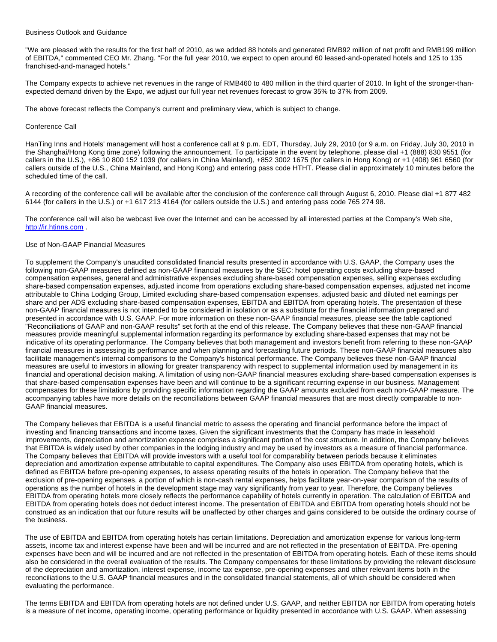### Business Outlook and Guidance

"We are pleased with the results for the first half of 2010, as we added 88 hotels and generated RMB92 million of net profit and RMB199 million of EBITDA," commented CEO Mr. Zhang. "For the full year 2010, we expect to open around 60 leased-and-operated hotels and 125 to 135 franchised-and-managed hotels."

The Company expects to achieve net revenues in the range of RMB460 to 480 million in the third quarter of 2010. In light of the stronger-thanexpected demand driven by the Expo, we adjust our full year net revenues forecast to grow 35% to 37% from 2009.

The above forecast reflects the Company's current and preliminary view, which is subject to change.

### Conference Call

HanTing Inns and Hotels' management will host a conference call at 9 p.m. EDT, Thursday, July 29, 2010 (or 9 a.m. on Friday, July 30, 2010 in the Shanghai/Hong Kong time zone) following the announcement. To participate in the event by telephone, please dial +1 (888) 830 9551 (for callers in the U.S.), +86 10 800 152 1039 (for callers in China Mainland), +852 3002 1675 (for callers in Hong Kong) or +1 (408) 961 6560 (for callers outside of the U.S., China Mainland, and Hong Kong) and entering pass code HTHT. Please dial in approximately 10 minutes before the scheduled time of the call.

A recording of the conference call will be available after the conclusion of the conference call through August 6, 2010. Please dial +1 877 482 6144 (for callers in the U.S.) or +1 617 213 4164 (for callers outside the U.S.) and entering pass code 765 274 98.

The conference call will also be webcast live over the Internet and can be accessed by all interested parties at the Company's Web site, [http://ir.htinns.com](http://ir.htinns.com/) .

### Use of Non-GAAP Financial Measures

To supplement the Company's unaudited consolidated financial results presented in accordance with U.S. GAAP, the Company uses the following non-GAAP measures defined as non-GAAP financial measures by the SEC: hotel operating costs excluding share-based compensation expenses, general and administrative expenses excluding share-based compensation expenses, selling expenses excluding share-based compensation expenses, adjusted income from operations excluding share-based compensation expenses, adjusted net income attributable to China Lodging Group, Limited excluding share-based compensation expenses, adjusted basic and diluted net earnings per share and per ADS excluding share-based compensation expenses, EBITDA and EBITDA from operating hotels. The presentation of these non-GAAP financial measures is not intended to be considered in isolation or as a substitute for the financial information prepared and presented in accordance with U.S. GAAP. For more information on these non-GAAP financial measures, please see the table captioned "Reconciliations of GAAP and non-GAAP results" set forth at the end of this release. The Company believes that these non-GAAP financial measures provide meaningful supplemental information regarding its performance by excluding share-based expenses that may not be indicative of its operating performance. The Company believes that both management and investors benefit from referring to these non-GAAP financial measures in assessing its performance and when planning and forecasting future periods. These non-GAAP financial measures also facilitate management's internal comparisons to the Company's historical performance. The Company believes these non-GAAP financial measures are useful to investors in allowing for greater transparency with respect to supplemental information used by management in its financial and operational decision making. A limitation of using non-GAAP financial measures excluding share-based compensation expenses is that share-based compensation expenses have been and will continue to be a significant recurring expense in our business. Management compensates for these limitations by providing specific information regarding the GAAP amounts excluded from each non-GAAP measure. The accompanying tables have more details on the reconciliations between GAAP financial measures that are most directly comparable to non-GAAP financial measures.

The Company believes that EBITDA is a useful financial metric to assess the operating and financial performance before the impact of investing and financing transactions and income taxes. Given the significant investments that the Company has made in leasehold improvements, depreciation and amortization expense comprises a significant portion of the cost structure. In addition, the Company believes that EBITDA is widely used by other companies in the lodging industry and may be used by investors as a measure of financial performance. The Company believes that EBITDA will provide investors with a useful tool for comparability between periods because it eliminates depreciation and amortization expense attributable to capital expenditures. The Company also uses EBITDA from operating hotels, which is defined as EBITDA before pre-opening expenses, to assess operating results of the hotels in operation. The Company believe that the exclusion of pre-opening expenses, a portion of which is non-cash rental expenses, helps facilitate year-on-year comparison of the results of operations as the number of hotels in the development stage may vary significantly from year to year. Therefore, the Company believes EBITDA from operating hotels more closely reflects the performance capability of hotels currently in operation. The calculation of EBITDA and EBITDA from operating hotels does not deduct interest income. The presentation of EBITDA and EBITDA from operating hotels should not be construed as an indication that our future results will be unaffected by other charges and gains considered to be outside the ordinary course of the business.

The use of EBITDA and EBITDA from operating hotels has certain limitations. Depreciation and amortization expense for various long-term assets, income tax and interest expense have been and will be incurred and are not reflected in the presentation of EBITDA. Pre-opening expenses have been and will be incurred and are not reflected in the presentation of EBITDA from operating hotels. Each of these items should also be considered in the overall evaluation of the results. The Company compensates for these limitations by providing the relevant disclosure of the depreciation and amortization, interest expense, income tax expense, pre-opening expenses and other relevant items both in the reconciliations to the U.S. GAAP financial measures and in the consolidated financial statements, all of which should be considered when evaluating the performance.

The terms EBITDA and EBITDA from operating hotels are not defined under U.S. GAAP, and neither EBITDA nor EBITDA from operating hotels is a measure of net income, operating income, operating performance or liquidity presented in accordance with U.S. GAAP. When assessing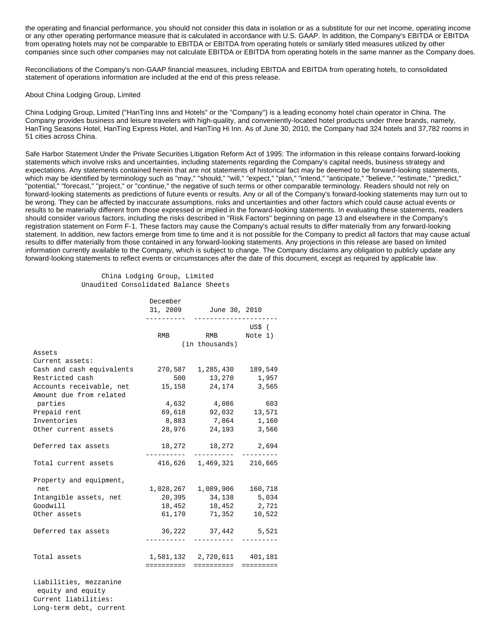the operating and financial performance, you should not consider this data in isolation or as a substitute for our net income, operating income or any other operating performance measure that is calculated in accordance with U.S. GAAP. In addition, the Company's EBITDA or EBITDA from operating hotels may not be comparable to EBITDA or EBITDA from operating hotels or similarly titled measures utilized by other companies since such other companies may not calculate EBITDA or EBITDA from operating hotels in the same manner as the Company does.

Reconciliations of the Company's non-GAAP financial measures, including EBITDA and EBITDA from operating hotels, to consolidated statement of operations information are included at the end of this press release.

About China Lodging Group, Limited

China Lodging Group, Limited ("HanTing Inns and Hotels" or the "Company") is a leading economy hotel chain operator in China. The Company provides business and leisure travelers with high-quality, and conveniently-located hotel products under three brands, namely, HanTing Seasons Hotel, HanTing Express Hotel, and HanTing Hi Inn. As of June 30, 2010, the Company had 324 hotels and 37,782 rooms in 51 cities across China.

Safe Harbor Statement Under the Private Securities Litigation Reform Act of 1995: The information in this release contains forward-looking statements which involve risks and uncertainties, including statements regarding the Company's capital needs, business strategy and expectations. Any statements contained herein that are not statements of historical fact may be deemed to be forward-looking statements, which may be identified by terminology such as "may," "should," "will," "expect," "plan," "intend," "anticipate," "believe," "estimate," "predict," "potential," "forecast," "project," or "continue," the negative of such terms or other comparable terminology. Readers should not rely on forward-looking statements as predictions of future events or results. Any or all of the Company's forward-looking statements may turn out to be wrong. They can be affected by inaccurate assumptions, risks and uncertainties and other factors which could cause actual events or results to be materially different from those expressed or implied in the forward-looking statements. In evaluating these statements, readers should consider various factors, including the risks described in "Risk Factors" beginning on page 13 and elsewhere in the Company's registration statement on Form F-1. These factors may cause the Company's actual results to differ materially from any forward-looking statement. In addition, new factors emerge from time to time and it is not possible for the Company to predict all factors that may cause actual results to differ materially from those contained in any forward-looking statements. Any projections in this release are based on limited information currently available to the Company, which is subject to change. The Company disclaims any obligation to publicly update any forward-looking statements to reflect events or circumstances after the date of this document, except as required by applicable law.

> China Lodging Group, Limited Unaudited Consolidated Balance Sheets

|                                                     | December |                                   |                     |
|-----------------------------------------------------|----------|-----------------------------------|---------------------|
|                                                     |          | 31, 2009 June 30, 2010            |                     |
|                                                     | RMB      | <b>RMB</b>                        | US\$ (<br>Note $1)$ |
|                                                     |          | (in thousands)                    |                     |
| Assets                                              |          |                                   |                     |
| Current assets:                                     |          |                                   |                     |
| Cash and cash equivalents 270,587 1,285,430 189,549 |          |                                   |                     |
| Restricted cash                                     | 500      | 13,270 1,957                      |                     |
| Accounts receivable, net                            |          | 15, 158 24, 174 3, 565            |                     |
| Amount due from related                             |          |                                   |                     |
| parties                                             |          | 4,632 4,086 603                   |                     |
| Prepaid rent                                        |          | 69,618 92,032 13,571              |                     |
| Inventories                                         |          | 8,883 7,864 1,160                 |                     |
| Other current assets                                |          | 28,976 24,193 3,566               |                     |
| Deferred tax assets                                 |          | 18,272 18,272 2,694<br>---------- | --------            |
| Total current assets                                |          | 416,626  1,469,321  216,665       |                     |
| Property and equipment,                             |          |                                   |                     |
| net                                                 |          | 1,028,267 1,089,906 160,718       |                     |
| Intangible assets, net                              |          | 20,395 34,138 5,034               |                     |
| Goodwill                                            |          | 18,452 18,452 2,721               |                     |
| Other assets                                        |          | 61,170 71,352 10,522              |                     |
| Deferred tax assets                                 |          | 36,222 37,442 5,521               |                     |
| Total assets                                        |          | ========================          | =========           |
|                                                     |          |                                   |                     |

 Liabilities, mezzanine equity and equity Current liabilities: Long-term debt, current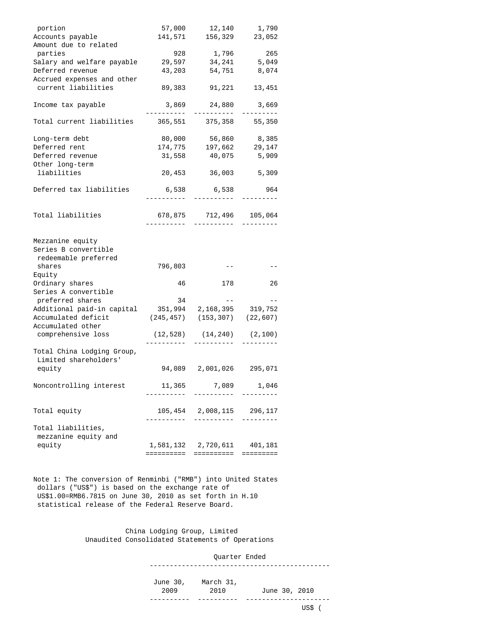| portion                                                          | 57,000                 | 12,140                                | 1,790                |
|------------------------------------------------------------------|------------------------|---------------------------------------|----------------------|
| Accounts payable                                                 | 141,571                |                                       | 156,329 23,052       |
| Amount due to related                                            |                        |                                       |                      |
| parties                                                          | 928                    | 1,796                                 | 265                  |
| Salary and welfare payable                                       | 29,597                 | 34,241                                | 5,049                |
| Deferred revenue                                                 | 43,203                 | 54,751                                | 8,074                |
| Accrued expenses and other                                       |                        |                                       |                      |
| current liabilities                                              | 89,383                 |                                       | 91, 221 13, 451      |
| Income tax payable                                               | 3,869                  | 24,880<br>__________                  | 3,669<br>--------    |
| Total current liabilities                                        | 365,551 375,358 55,350 |                                       |                      |
| Long-term debt                                                   | 80,000                 | 56,860                                | 8,385                |
| Deferred rent                                                    |                        | 174,775 197,662                       | 29,147               |
| Deferred revenue                                                 | 31,558                 |                                       | 40,075 5,909         |
| Other long-term                                                  |                        |                                       |                      |
| liabilities                                                      | 20,453                 | 36,003                                | 5,309                |
| Deferred tax liabilities                                         | 6,538                  | 6,538                                 | 964                  |
| Total liabilities                                                | ----------             | 678,875 712,496 105,064<br>.          |                      |
| Mezzanine equity<br>Series B convertible<br>redeemable preferred |                        |                                       |                      |
| shares                                                           | 796,803                |                                       |                      |
| Equity                                                           |                        |                                       |                      |
| Ordinary shares<br>Series A convertible                          | 46                     | 178                                   | 26                   |
| preferred shares                                                 | 34                     | $\sim$ $ -$                           | $\qquad \qquad -$    |
| Additional paid-in capital 351,994 2,168,395 319,752             |                        |                                       |                      |
| Accumulated deficit                                              |                        | $(245, 457)$ $(153, 307)$ $(22, 607)$ |                      |
| Accumulated other                                                |                        |                                       |                      |
| comprehensive loss                                               |                        | $(12, 528)$ $(14, 240)$               | (2,100)              |
| Total China Lodging Group,<br>Limited shareholders'              |                        |                                       |                      |
| equity                                                           |                        | 94,089 2,001,026 295,071              |                      |
| Noncontrolling interest                                          | 11,365<br>------       | 7,089<br>---------                    | 1,046                |
| Total equity                                                     | -------                | 105,454 2,008,115<br>-----------      | 296,117<br>--------- |
| Total liabilities,                                               |                        |                                       |                      |
| mezzanine equity and<br>equity                                   | 1,581,132              | 2,720,611                             | 401,181              |
|                                                                  | ==========             | ==========                            | =========            |

 Note 1: The conversion of Renminbi ("RMB") into United States dollars ("US\$") is based on the exchange rate of US\$1.00=RMB6.7815 on June 30, 2010 as set forth in H.10 statistical release of the Federal Reserve Board.

> China Lodging Group, Limited Unaudited Consolidated Statements of Operations

> > Quarter Ended

 --------------------------------------------- June 30, March 31, 2009 2010 June 30, 2010 ---------- ---------- ---------------------  $\mathbb{U} \mathbb{S}^{\zeta}$  (  $\mathbb{U} \mathbb{S}^{\zeta}$  ) and  $\mathbb{U} \mathbb{S}^{\zeta}$  ) and  $\mathbb{U} \mathbb{S}^{\zeta}$  ) and  $\mathbb{U} \mathbb{S}^{\zeta}$  ) and  $\mathbb{U} \mathbb{S}^{\zeta}$  ) and  $\mathbb{U} \mathbb{S}^{\zeta}$  ) and  $\mathbb{U} \mathbb{S}^{\zeta}$  ) and  $\mathbb{U} \mathbb{S}^{\zeta$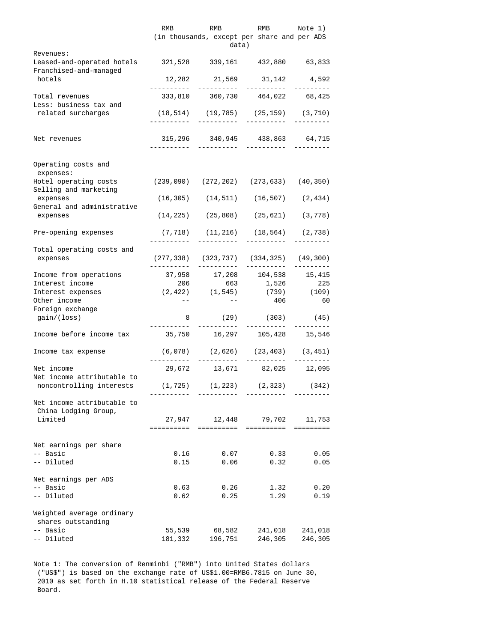|                            | RMB                            | RMB                   | <b>RMB</b>                                         | Note 1)    |
|----------------------------|--------------------------------|-----------------------|----------------------------------------------------|------------|
|                            |                                |                       | (in thousands, except per share and per ADS        |            |
|                            |                                | data)                 |                                                    |            |
| Revenues:                  |                                |                       |                                                    |            |
| Leased-and-operated hotels | 321,528 339,161 432,880 63,833 |                       |                                                    |            |
|                            |                                |                       |                                                    |            |
| Franchised-and-managed     |                                |                       |                                                    |            |
| hotels                     |                                |                       | 12,282 21,569 31,142                               | 4,592      |
|                            |                                | ----------            | -----------                                        | ---------  |
| Total revenues             |                                |                       | 333,810 360,730 464,022 68,425                     |            |
| Less: business tax and     |                                |                       |                                                    |            |
| related surcharges         |                                |                       | $(18, 514)$ $(19, 785)$ $(25, 159)$ $(3, 710)$     |            |
|                            | -----------                    | -----------           | -----------                                        |            |
|                            |                                |                       |                                                    |            |
| Net revenues               |                                |                       | 315,296 340,945 438,863 64,715                     |            |
|                            |                                |                       |                                                    | ---------  |
|                            | -----------                    | -----------           | -----------                                        |            |
|                            |                                |                       |                                                    |            |
| Operating costs and        |                                |                       |                                                    |            |
| expenses:                  |                                |                       |                                                    |            |
| Hotel operating costs      |                                |                       | (239,090) (272,202) (273,633) (40,350)             |            |
| Selling and marketing      |                                |                       |                                                    |            |
| expenses                   |                                |                       | $(16, 305)$ $(14, 511)$ $(16, 507)$ $(2, 434)$     |            |
|                            |                                |                       |                                                    |            |
| General and administrative |                                |                       |                                                    |            |
| expenses                   |                                |                       | $(14, 225)$ $(25, 808)$ $(25, 621)$ $(3, 778)$     |            |
|                            |                                |                       |                                                    |            |
| Pre-opening expenses       |                                |                       | $(7, 718)$ $(11, 216)$ $(18, 564)$ $(2, 738)$      |            |
|                            |                                | ------------          | -----------                                        |            |
| Total operating costs and  |                                |                       |                                                    |            |
| expenses                   |                                |                       | $(277, 338)$ $(323, 737)$ $(334, 325)$ $(49, 300)$ |            |
|                            |                                | -----------           | -----------                                        | ---------- |
|                            | -----------                    |                       |                                                    |            |
| Income from operations     |                                |                       | 37,958 17,208 104,538 15,415                       |            |
| Interest income            | 206                            | 663                   | 1,526                                              | 225        |
| Interest expenses          |                                | $(2, 422)$ $(1, 545)$ | (739)                                              | (109)      |
| Other income               | $ -$                           | $ -$                  | 406                                                | 60         |
| Foreign exchange           |                                |                       |                                                    |            |
| gain/(loss)                | 8                              |                       | $(29)$ $(303)$ $(45)$                              |            |
|                            |                                |                       |                                                    |            |
|                            | __________                     | -----------           | -----------                                        | ---------  |
| Income before income tax   |                                |                       | 35,750 16,297 105,428 15,546                       |            |
|                            |                                |                       |                                                    |            |
| Income tax expense         |                                |                       | $(6,078)$ $(2,626)$ $(23,403)$ $(3,451)$           |            |
|                            |                                |                       |                                                    |            |
| Net income                 |                                |                       | 29,672 13,671 82,025 12,095                        |            |
| Net income attributable to |                                |                       |                                                    |            |
|                            |                                |                       |                                                    |            |
| noncontrolling interests   | (1, 725)                       | (1, 223)              | (2, 323)                                           | (342)      |
|                            |                                | ---------             |                                                    |            |
| Net income attributable to |                                |                       |                                                    |            |
| China Lodging Group,       |                                |                       |                                                    |            |
| Limited                    |                                |                       | 27,947 12,448 79,702 11,753                        |            |
|                            |                                |                       |                                                    |            |
|                            |                                |                       |                                                    |            |
| Net earnings per share     |                                |                       |                                                    |            |
|                            |                                |                       |                                                    |            |
| -- Basic                   | 0.16                           | 0.07                  | 0.33                                               | 0.05       |
| -- Diluted                 | 0.15                           | 0.06                  | 0.32                                               | 0.05       |
|                            |                                |                       |                                                    |            |
| Net earnings per ADS       |                                |                       |                                                    |            |
| -- Basic                   | 0.63                           | 0.26                  | 1.32                                               | 0.20       |
| -- Diluted                 | 0.62                           | 0.25                  | 1.29                                               | 0.19       |
|                            |                                |                       |                                                    |            |
|                            |                                |                       |                                                    |            |
| Weighted average ordinary  |                                |                       |                                                    |            |
| shares outstanding         |                                |                       |                                                    |            |
| -- Basic                   | 55,539                         | 68,582                | 241,018                                            | 241,018    |
| -- Diluted                 | 181,332                        | 196,751               | 246,305                                            | 246,305    |

 Note 1: The conversion of Renminbi ("RMB") into United States dollars ("US\$") is based on the exchange rate of US\$1.00=RMB6.7815 on June 30, 2010 as set forth in H.10 statistical release of the Federal Reserve Board.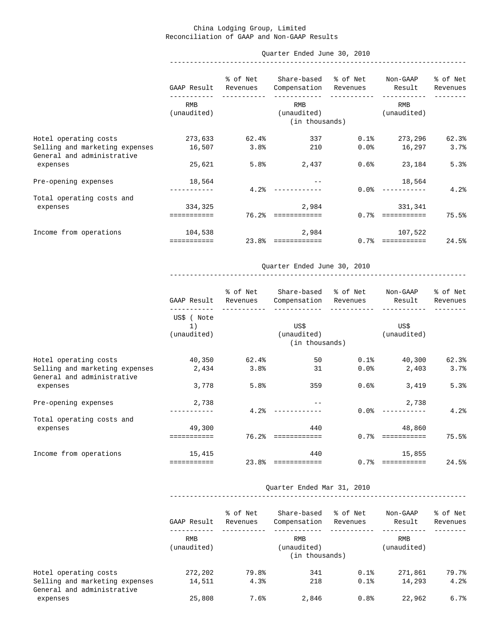### China Lodging Group, Limited Reconciliation of GAAP and Non-GAAP Results

### Quarter Ended June 30, 2010 --------------------------------------------------------------------------

|                                                                                       | GAAP Result               | % of Net<br>Revenues | Share-based<br>Compensation          | % of Net<br>Revenues | Non-GAAP<br>Result        | % of Net<br>Revenues |
|---------------------------------------------------------------------------------------|---------------------------|----------------------|--------------------------------------|----------------------|---------------------------|----------------------|
|                                                                                       | <b>RMB</b><br>(unaudited) |                      | RMB<br>(unaudited)<br>(in thousands) |                      | <b>RMB</b><br>(unaudited) |                      |
| Hotel operating costs<br>Selling and marketing expenses<br>General and administrative | 273,633<br>16,507         | 62.4%<br>3.8%        | 337<br>210                           | 0.1%<br>0.0%         | 273,296<br>16,297         | 62.3%<br>3.7%        |
| expenses                                                                              | 25,621                    | 5.8%                 | 2,437                                | 0.6%                 | 23,184                    | 5.3%                 |
| Pre-opening expenses                                                                  | 18,564                    | 4.2%                 |                                      | 0.0%                 | 18,564<br>-----------     | 4.2%                 |
| Total operating costs and<br>expenses                                                 | 334,325                   |                      | 2,984                                |                      | 331,341                   |                      |
|                                                                                       | ===========               | 76.2%                | ============                         | 0.7%                 | <b>EEEEEEEEEE</b>         | 75.5%                |
| Income from operations                                                                | 104,538<br>===========    | 23.8%                | 2,984<br>============                | 0.7%                 | 107,522                   | 24.5%                |

Quarter Ended June 30, 2010

|                                                              | GAAP Result       | % of Net<br>Revenues | Share-based<br>Compensation | % of Net<br>Revenues | Non-GAAP<br>Result                                                                                                                                                                                                                                                                                                                                                                                                                                                                     | % of Net<br>Revenues |
|--------------------------------------------------------------|-------------------|----------------------|-----------------------------|----------------------|----------------------------------------------------------------------------------------------------------------------------------------------------------------------------------------------------------------------------------------------------------------------------------------------------------------------------------------------------------------------------------------------------------------------------------------------------------------------------------------|----------------------|
|                                                              | US\$ ( Note       |                      |                             |                      |                                                                                                                                                                                                                                                                                                                                                                                                                                                                                        |                      |
|                                                              | 1)<br>(unaudited) |                      | US\$<br>(unaudited)         |                      | US\$<br>(unaudited)                                                                                                                                                                                                                                                                                                                                                                                                                                                                    |                      |
|                                                              |                   |                      | (in thousands)              |                      |                                                                                                                                                                                                                                                                                                                                                                                                                                                                                        |                      |
| Hotel operating costs                                        | 40,350            | 62.4%                | 50                          | $0.1$ %              | 40,300                                                                                                                                                                                                                                                                                                                                                                                                                                                                                 | 62.3%                |
| Selling and marketing expenses<br>General and administrative | 2,434             | 3.8%                 | 31                          | 0.0%                 | 2,403                                                                                                                                                                                                                                                                                                                                                                                                                                                                                  | 3.7%                 |
| expenses                                                     | 3,778             | 5.8%                 | 359                         | 0.6%                 | 3,419                                                                                                                                                                                                                                                                                                                                                                                                                                                                                  | 5.3%                 |
| Pre-opening expenses                                         | 2,738             |                      | $ -$                        |                      | 2,738                                                                                                                                                                                                                                                                                                                                                                                                                                                                                  |                      |
|                                                              |                   | 4.2%                 |                             | 0.0%                 |                                                                                                                                                                                                                                                                                                                                                                                                                                                                                        | 4.2%                 |
| Total operating costs and<br>expenses                        | 49,300            |                      | 440                         |                      | 48,860                                                                                                                                                                                                                                                                                                                                                                                                                                                                                 |                      |
|                                                              | ===========       | 76.2%                | ============                | 0.7%                 | <b>EEEEEEEEEE</b>                                                                                                                                                                                                                                                                                                                                                                                                                                                                      | 75.5%                |
| Income from operations                                       | 15,415            |                      | 440                         |                      | 15,855                                                                                                                                                                                                                                                                                                                                                                                                                                                                                 |                      |
|                                                              | ===========       | 23.8%                | ============                | 0.7%                 | $\begin{array}{cccccccccc} \multicolumn{2}{c}{} & \multicolumn{2}{c}{} & \multicolumn{2}{c}{} & \multicolumn{2}{c}{} & \multicolumn{2}{c}{} & \multicolumn{2}{c}{} & \multicolumn{2}{c}{} & \multicolumn{2}{c}{} & \multicolumn{2}{c}{} & \multicolumn{2}{c}{} & \multicolumn{2}{c}{} & \multicolumn{2}{c}{} & \multicolumn{2}{c}{} & \multicolumn{2}{c}{} & \multicolumn{2}{c}{} & \multicolumn{2}{c}{} & \multicolumn{2}{c}{} & \multicolumn{2}{c}{} & \multicolumn{2}{c}{} & \mult$ | 24.5%                |

#### Quarter Ended Mar 31, 2010 --------------------------------------------------------------------------

|                                                         | GAAP Result               | % of Net<br>Revenues | Share-based<br>Compensation          | % of Net<br>Revenues | Non-GAAP<br>Result        | % of Net<br>Revenues |
|---------------------------------------------------------|---------------------------|----------------------|--------------------------------------|----------------------|---------------------------|----------------------|
|                                                         | <b>RMB</b><br>(unaudited) |                      | RMB<br>(unaudited)<br>(in thousands) |                      | <b>RMB</b><br>(unaudited) |                      |
| Hotel operating costs<br>Selling and marketing expenses | 272,202<br>14,511         | 79.8%<br>4.3%        | 341<br>218                           | 0.1%<br>0.1%         | 271,861<br>14,293         | 79.7%<br>4.2%        |
| General and administrative<br>expenses                  | 25,808                    | 7.6%                 | 2,846                                | 0.8%                 | 22,962                    | 6.7%                 |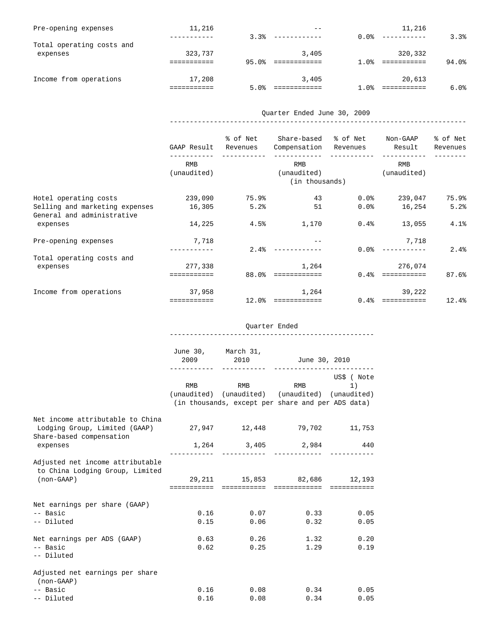| Pre-opening expenses      | 11,216  |       | $ -$         |      | 11,216             |       |
|---------------------------|---------|-------|--------------|------|--------------------|-------|
|                           |         | 3.3%  |              | 0.0% | ----------<br>$ -$ | 3.3%  |
| Total operating costs and |         |       |              |      |                    |       |
| expenses                  | 323,737 |       | 3,405        |      | 320,332            |       |
|                           |         | 95.0% | ============ | 1.0% | ===========        | 94.0% |
| Income from operations    | 17,208  |       | 3,405        |      | 20,613             |       |
|                           |         | ጠይ    |              | 1.0% |                    | 6.0%  |

### Quarter Ended June 30, 2009 --------------------------------------------------------------------------

|                                | GAAP Result<br>RMB | % of Net<br>Revenues | Share-based<br>Compensation<br>RMB | % of Net<br>Revenues | Non-GAAP<br>Result<br><b>RMB</b> | % of Net<br>Revenues |
|--------------------------------|--------------------|----------------------|------------------------------------|----------------------|----------------------------------|----------------------|
|                                | (unaudited)        |                      | (unaudited)<br>(in thousands)      |                      | (unaudited)                      |                      |
|                                |                    |                      |                                    |                      |                                  |                      |
| Hotel operating costs          | 239,090            | 75.9%                | 43                                 | 0.0%                 | 239,047                          | 75.9%                |
| Selling and marketing expenses | 16,305             | 5.2%                 | 51                                 | 0.0%                 | 16,254                           | 5.2%                 |
| General and administrative     |                    |                      |                                    |                      |                                  |                      |
| expenses                       | 14,225             | 4.5%                 | 1,170                              | 0.4%                 | 13,055                           | 4.1%                 |
| Pre-opening expenses           | 7,718              |                      |                                    |                      | 7,718                            |                      |
|                                |                    | 2.4%                 |                                    | 0.0%                 | ---------                        | 2.4%                 |
| Total operating costs and      |                    |                      |                                    |                      |                                  |                      |
| expenses                       | 277,338            |                      | 1,264                              |                      | 276,074                          |                      |
|                                | ===========        | 88.0%                | ============                       | 0.4%                 | ===========                      | 87.6%                |
| Income from operations         | 37,958             |                      | 1,264                              |                      | 39,222                           |                      |
|                                | ===========        | 12.0%                | ============                       | 0.4%                 | ===========                      | 12.4%                |

|                                                                                                                           | Quarter Ended                      |                                                                                                             |                     |                      |  |
|---------------------------------------------------------------------------------------------------------------------------|------------------------------------|-------------------------------------------------------------------------------------------------------------|---------------------|----------------------|--|
|                                                                                                                           | June 30, March 31,<br>2009<br>2010 |                                                                                                             | June 30, 2010       |                      |  |
|                                                                                                                           | RMB                                | RMB<br>(unaudited) (unaudited) (unaudited) (unaudited)<br>(in thousands, except per share and per ADS data) | RMB                 | US\$ ( Note<br>1)    |  |
| Net income attributable to China<br>Lodging Group, Limited (GAAP) 27,947 12,448 79,702 11,753<br>Share-based compensation |                                    |                                                                                                             |                     |                      |  |
| expenses                                                                                                                  |                                    | 1,264 3,405 2,984 440<br>___________                                                                        | _____________       |                      |  |
| Adjusted net income attributable<br>to China Lodging Group, Limited<br>$(non-GAAP)$                                       |                                    | 29,211 15,853 82,686 12,193                                                                                 |                     |                      |  |
| Net earnings per share (GAAP)<br>-- Basic<br>-- Diluted                                                                   |                                    | $0.16$ 0.07<br>$0.15$ 0.06                                                                                  | 0.33                | 0.05<br>0.32<br>0.05 |  |
| Net earnings per ADS (GAAP)<br>-- Basic<br>-- Diluted                                                                     | 0.62                               | 0.63<br>0.25                                                                                                | $0.26$ 1.32<br>1.29 | 0.20<br>0.19         |  |
| Adjusted net earnings per share<br>(non-GAAP)<br>-- Basic                                                                 |                                    | $0.16$ 0.08                                                                                                 | 0.34                | 0.05                 |  |
| -- Diluted                                                                                                                |                                    | 0.16<br>0.08                                                                                                | 0.34                | 0.05                 |  |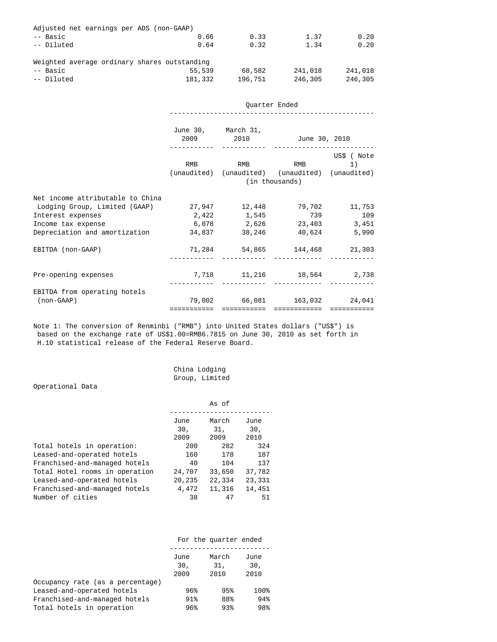| Adjusted net earnings per ADS (non-GAAP)     |        |        |         |         |
|----------------------------------------------|--------|--------|---------|---------|
| -- Basic                                     | 0.66   | 0.33   | 1.37    | 0.20    |
| -- Diluted                                   | 0.64   | 0.32   | 1.34    | 0.20    |
| Weighted average ordinary shares outstanding |        |        |         |         |
|                                              |        |        |         |         |
| -- Basic                                     | 55,539 | 68,582 | 241,018 | 241,018 |

|                                                                                                                                                                           | Ouarter Ended<br>------------------------------------ |                    |                                                                         |             |  |
|---------------------------------------------------------------------------------------------------------------------------------------------------------------------------|-------------------------------------------------------|--------------------|-------------------------------------------------------------------------|-------------|--|
|                                                                                                                                                                           |                                                       | June 30, March 31, | 2009 2010 June 30, 2010<br>______________                               |             |  |
|                                                                                                                                                                           |                                                       | (in thousands)     | RMB RMB RMB 1)<br>(unaudited) (unaudited) (unaudited) (unaudited)       | US\$ ( Note |  |
| Net income attributable to China<br>Lodging Group, Limited (GAAP) 27,947 12,448 79,702 11,753<br>Interest expenses<br>Income tax expense<br>Depreciation and amortization |                                                       |                    | 2,422 1,545 739 109<br>6,078 2,626 23,403 3,451<br>34,837 38,246 40,624 | 5,990       |  |
| EBITDA (non-GAAP)                                                                                                                                                         |                                                       |                    | 71,284 54,865 144,468 21,303                                            |             |  |
| Pre-opening expenses                                                                                                                                                      |                                                       |                    | 7,718 11,216 18,564 2,738                                               |             |  |
| EBITDA from operating hotels<br>$(non-GAAP)$                                                                                                                              | -------------                                         | ===========        | 79,002 66,081 163,032 24,041<br>============                            | =========== |  |

 Note 1: The conversion of Renminbi ("RMB") into United States dollars ("US\$") is based on the exchange rate of US\$1.00=RMB6.7815 on June 30, 2010 as set forth in H.10 statistical release of the Federal Reserve Board.

| Operational Data               | China Lodging<br>Group, Limited |        |        |
|--------------------------------|---------------------------------|--------|--------|
|                                |                                 | As of  |        |
|                                | June                            | March  | June   |
|                                | 30.                             | 31,    | 30.    |
|                                | 2009                            | 2009   | 2010   |
| Total hotels in operation:     | 200                             | 282    | 324    |
| Leased-and-operated hotels     | 160                             | 178    | 187    |
| Franchised-and-managed hotels  | 40                              | 104    | 137    |
| Total Hotel rooms in operation | 24,707                          | 33,650 | 37,782 |
|                                |                                 |        |        |

|                                |                 | As ot  |                 |
|--------------------------------|-----------------|--------|-----------------|
|                                | June            | March  | June            |
|                                | 30 <sub>1</sub> | 31,    | 30 <sub>1</sub> |
|                                | 2009            | 2009   | 2010            |
| Total hotels in operation:     | 200             | 282    | 324             |
| Leased-and-operated hotels     | 160             | 178    | 187             |
| Franchised-and-managed hotels  | 40              | 104    | 137             |
| Total Hotel rooms in operation | 24,707          | 33,650 | 37,782          |
| Leased-and-operated hotels     | 20,235          | 22,334 | 23,331          |
| Franchised-and-managed hotels  | 4,472           | 11,316 | 14,451          |
| Number of cities               | 38              | 47     | 51              |

|                                  |                 | For the quarter ended |      |
|----------------------------------|-----------------|-----------------------|------|
|                                  |                 |                       |      |
|                                  | June            | March                 | June |
|                                  | 30 <sub>1</sub> | 31.                   | 30,  |
|                                  | 2009            | 2010                  | 2010 |
| Occupancy rate (as a percentage) |                 |                       |      |
| Leased-and-operated hotels       | 96%             | 95%                   | 100% |
| Franchised-and-managed hotels    | 91%             | 88%                   | 94%  |
| Total hotels in operation        | 96%             | 93%                   | 98%  |